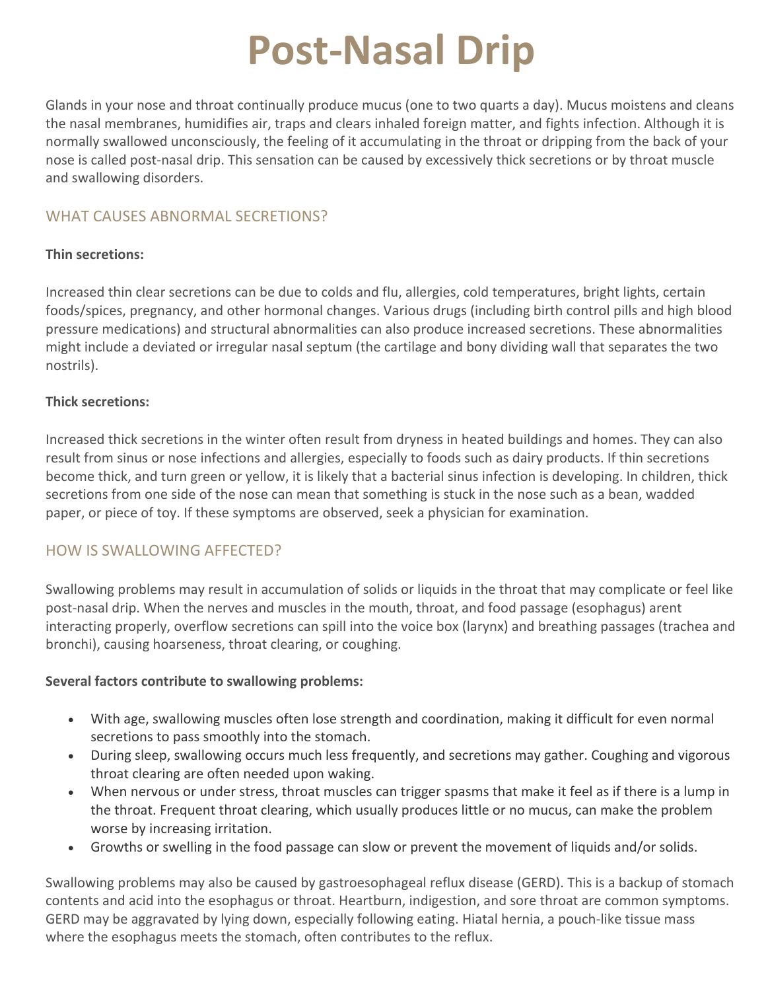# **Post-Nasal Drip**

Glands in your nose and throat continually produce mucus (one to two quarts a day). Mucus moistens and cleans the nasal membranes, humidifies air, traps and clears inhaled foreign matter, and fights infection. Although it is normally swallowed unconsciously, the feeling of it accumulating in the throat or dripping from the back of your nose is called post-nasal drip. This sensation can be caused by excessively thick secretions or by throat muscle and swallowing disorders.

# WHAT CAUSES ABNORMAL SECRETIONS?

#### **Thin secretions:**

Increased thin clear secretions can be due to colds and flu, allergies, cold temperatures, bright lights, certain foods/spices, pregnancy, and other hormonal changes. Various drugs (including birth control pills and high blood pressure medications) and structural abnormalities can also produce increased secretions. These abnormalities might include a deviated or irregular nasal septum (the cartilage and bony dividing wall that separates the two nostrils).

## **Thick secretions:**

Increased thick secretions in the winter often result from dryness in heated buildings and homes. They can also result from sinus or nose infections and allergies, especially to foods such as dairy products. If thin secretions become thick, and turn green or yellow, it is likely that a bacterial sinus infection is developing. In children, thick secretions from one side of the nose can mean that something is stuck in the nose such as a bean, wadded paper, or piece of toy. If these symptoms are observed, seek a physician for examination.

# HOW IS SWALLOWING AFFECTED?

Swallowing problems may result in accumulation of solids or liquids in the throat that may complicate or feel like post-nasal drip. When the nerves and muscles in the mouth, throat, and food passage (esophagus) arent interacting properly, overflow secretions can spill into the voice box (larynx) and breathing passages (trachea and bronchi), causing hoarseness, throat clearing, or coughing.

#### **Several factors contribute to swallowing problems:**

- With age, swallowing muscles often lose strength and coordination, making it difficult for even normal secretions to pass smoothly into the stomach.
- During sleep, swallowing occurs much less frequently, and secretions may gather. Coughing and vigorous throat clearing are often needed upon waking.
- When nervous or under stress, throat muscles can trigger spasms that make it feel as if there is a lump in the throat. Frequent throat clearing, which usually produces little or no mucus, can make the problem worse by increasing irritation.
- Growths or swelling in the food passage can slow or prevent the movement of liquids and/or solids.

Swallowing problems may also be caused by gastroesophageal reflux disease (GERD). This is a backup of stomach contents and acid into the esophagus or throat. Heartburn, indigestion, and sore throat are common symptoms. GERD may be aggravated by lying down, especially following eating. Hiatal hernia, a pouch-like tissue mass where the esophagus meets the stomach, often contributes to the reflux.